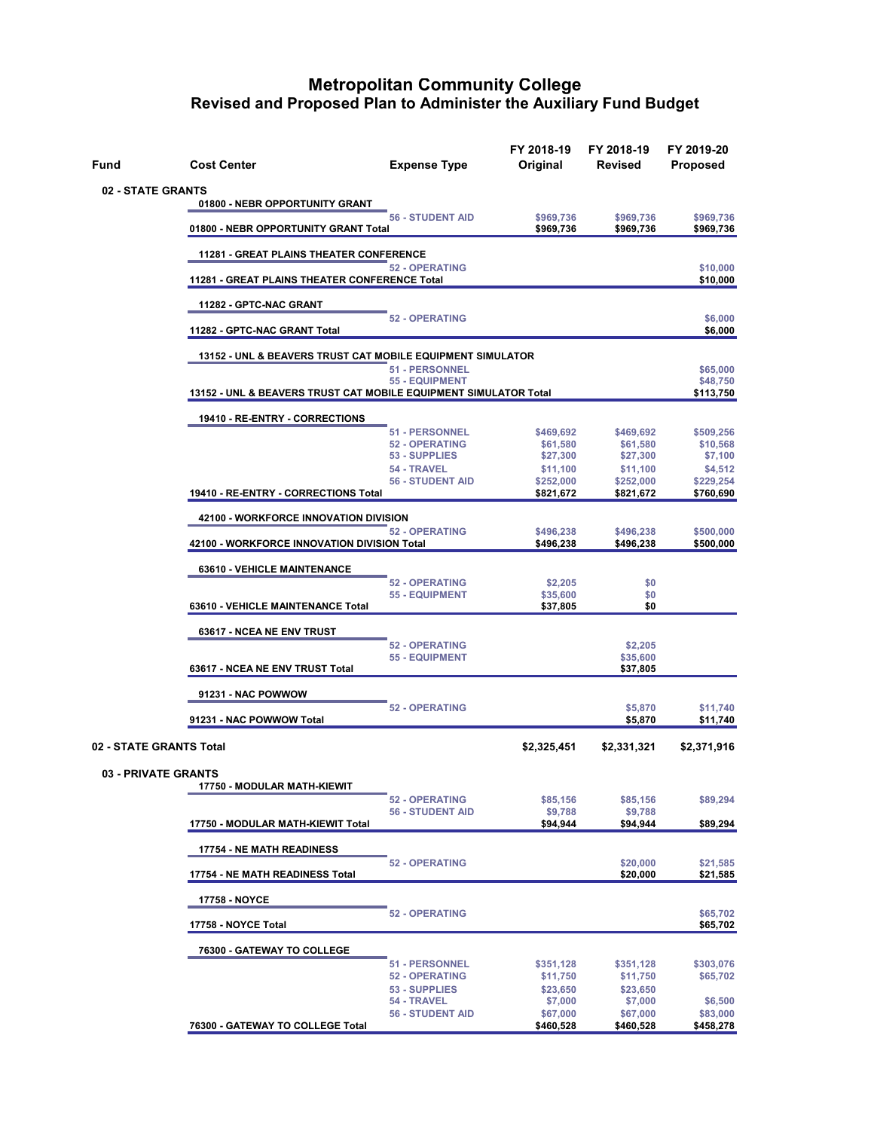| Fund              | <b>Cost Center</b>                          | <b>Expense Type</b>                                                                                                                                                                                                                                                                                                                                                                                                                                                                                                                                                                                                                                                                                                                                                                                                                                                                                                                                                                                                                                                                                   | FY 2018-19<br>Original | FY 2018-19<br><b>Revised</b>                                                                                                                                                                             | FY 2019-20<br><b>Proposed</b> |
|-------------------|---------------------------------------------|-------------------------------------------------------------------------------------------------------------------------------------------------------------------------------------------------------------------------------------------------------------------------------------------------------------------------------------------------------------------------------------------------------------------------------------------------------------------------------------------------------------------------------------------------------------------------------------------------------------------------------------------------------------------------------------------------------------------------------------------------------------------------------------------------------------------------------------------------------------------------------------------------------------------------------------------------------------------------------------------------------------------------------------------------------------------------------------------------------|------------------------|----------------------------------------------------------------------------------------------------------------------------------------------------------------------------------------------------------|-------------------------------|
| 02 - STATE GRANTS |                                             |                                                                                                                                                                                                                                                                                                                                                                                                                                                                                                                                                                                                                                                                                                                                                                                                                                                                                                                                                                                                                                                                                                       |                        |                                                                                                                                                                                                          |                               |
|                   |                                             |                                                                                                                                                                                                                                                                                                                                                                                                                                                                                                                                                                                                                                                                                                                                                                                                                                                                                                                                                                                                                                                                                                       | \$969,736              | \$969,736                                                                                                                                                                                                | \$969,736                     |
|                   | 01800 - NEBR OPPORTUNITY GRANT Total        |                                                                                                                                                                                                                                                                                                                                                                                                                                                                                                                                                                                                                                                                                                                                                                                                                                                                                                                                                                                                                                                                                                       | \$969,736              | \$969,736                                                                                                                                                                                                | \$969,736                     |
|                   |                                             |                                                                                                                                                                                                                                                                                                                                                                                                                                                                                                                                                                                                                                                                                                                                                                                                                                                                                                                                                                                                                                                                                                       |                        |                                                                                                                                                                                                          | \$10,000                      |
|                   |                                             |                                                                                                                                                                                                                                                                                                                                                                                                                                                                                                                                                                                                                                                                                                                                                                                                                                                                                                                                                                                                                                                                                                       |                        |                                                                                                                                                                                                          | \$10,000                      |
|                   | 11282 - GPTC-NAC GRANT                      |                                                                                                                                                                                                                                                                                                                                                                                                                                                                                                                                                                                                                                                                                                                                                                                                                                                                                                                                                                                                                                                                                                       |                        |                                                                                                                                                                                                          |                               |
|                   | 11282 - GPTC-NAC GRANT Total                |                                                                                                                                                                                                                                                                                                                                                                                                                                                                                                                                                                                                                                                                                                                                                                                                                                                                                                                                                                                                                                                                                                       |                        |                                                                                                                                                                                                          | \$6,000<br>\$6,000            |
|                   |                                             |                                                                                                                                                                                                                                                                                                                                                                                                                                                                                                                                                                                                                                                                                                                                                                                                                                                                                                                                                                                                                                                                                                       |                        |                                                                                                                                                                                                          |                               |
|                   |                                             |                                                                                                                                                                                                                                                                                                                                                                                                                                                                                                                                                                                                                                                                                                                                                                                                                                                                                                                                                                                                                                                                                                       |                        |                                                                                                                                                                                                          | \$65,000<br>\$48,750          |
|                   |                                             |                                                                                                                                                                                                                                                                                                                                                                                                                                                                                                                                                                                                                                                                                                                                                                                                                                                                                                                                                                                                                                                                                                       |                        |                                                                                                                                                                                                          | \$113,750                     |
|                   | 19410 - RE-ENTRY - CORRECTIONS              |                                                                                                                                                                                                                                                                                                                                                                                                                                                                                                                                                                                                                                                                                                                                                                                                                                                                                                                                                                                                                                                                                                       |                        |                                                                                                                                                                                                          |                               |
|                   |                                             |                                                                                                                                                                                                                                                                                                                                                                                                                                                                                                                                                                                                                                                                                                                                                                                                                                                                                                                                                                                                                                                                                                       | \$61,580               | \$61,580                                                                                                                                                                                                 | \$509,256<br>\$10,568         |
|                   |                                             |                                                                                                                                                                                                                                                                                                                                                                                                                                                                                                                                                                                                                                                                                                                                                                                                                                                                                                                                                                                                                                                                                                       | \$27,300               | \$27,300                                                                                                                                                                                                 | \$7,100<br>\$4,512            |
|                   |                                             |                                                                                                                                                                                                                                                                                                                                                                                                                                                                                                                                                                                                                                                                                                                                                                                                                                                                                                                                                                                                                                                                                                       | \$252,000              | \$252,000                                                                                                                                                                                                | \$229,254                     |
|                   | 19410 - RE-ENTRY - CORRECTIONS Total        |                                                                                                                                                                                                                                                                                                                                                                                                                                                                                                                                                                                                                                                                                                                                                                                                                                                                                                                                                                                                                                                                                                       | \$821,672              | \$821,672                                                                                                                                                                                                | \$760,690                     |
|                   | 42100 - WORKFORCE INNOVATION DIVISION       |                                                                                                                                                                                                                                                                                                                                                                                                                                                                                                                                                                                                                                                                                                                                                                                                                                                                                                                                                                                                                                                                                                       |                        |                                                                                                                                                                                                          |                               |
|                   | 42100 - WORKFORCE INNOVATION DIVISION Total |                                                                                                                                                                                                                                                                                                                                                                                                                                                                                                                                                                                                                                                                                                                                                                                                                                                                                                                                                                                                                                                                                                       | \$496,238              | \$496,238                                                                                                                                                                                                | \$500,000<br>\$500,000        |
|                   | <b>63610 - VEHICLE MAINTENANCE</b>          |                                                                                                                                                                                                                                                                                                                                                                                                                                                                                                                                                                                                                                                                                                                                                                                                                                                                                                                                                                                                                                                                                                       |                        |                                                                                                                                                                                                          |                               |
|                   |                                             |                                                                                                                                                                                                                                                                                                                                                                                                                                                                                                                                                                                                                                                                                                                                                                                                                                                                                                                                                                                                                                                                                                       | \$2,205                | \$0                                                                                                                                                                                                      |                               |
|                   | 63610 - VEHICLE MAINTENANCE Total           |                                                                                                                                                                                                                                                                                                                                                                                                                                                                                                                                                                                                                                                                                                                                                                                                                                                                                                                                                                                                                                                                                                       | \$37,805               | \$0                                                                                                                                                                                                      |                               |
|                   | 63617 - NCEA NE ENV TRUST                   |                                                                                                                                                                                                                                                                                                                                                                                                                                                                                                                                                                                                                                                                                                                                                                                                                                                                                                                                                                                                                                                                                                       |                        |                                                                                                                                                                                                          |                               |
|                   |                                             |                                                                                                                                                                                                                                                                                                                                                                                                                                                                                                                                                                                                                                                                                                                                                                                                                                                                                                                                                                                                                                                                                                       |                        | \$2,205                                                                                                                                                                                                  |                               |
|                   | 63617 - NCEA NE ENV TRUST Total             |                                                                                                                                                                                                                                                                                                                                                                                                                                                                                                                                                                                                                                                                                                                                                                                                                                                                                                                                                                                                                                                                                                       |                        | \$37,805                                                                                                                                                                                                 |                               |
|                   | 91231 - NAC POWWOW                          |                                                                                                                                                                                                                                                                                                                                                                                                                                                                                                                                                                                                                                                                                                                                                                                                                                                                                                                                                                                                                                                                                                       |                        |                                                                                                                                                                                                          |                               |
|                   | 91231 - NAC POWWOW Total                    |                                                                                                                                                                                                                                                                                                                                                                                                                                                                                                                                                                                                                                                                                                                                                                                                                                                                                                                                                                                                                                                                                                       |                        | \$5,870<br>\$5,870                                                                                                                                                                                       | \$11,740<br>\$11,740          |
|                   | 02 - STATE GRANTS Total                     |                                                                                                                                                                                                                                                                                                                                                                                                                                                                                                                                                                                                                                                                                                                                                                                                                                                                                                                                                                                                                                                                                                       |                        | \$469,692<br>\$11,100<br>\$496,238<br>\$0<br>\$35,600<br>\$2,331,321<br>\$85,156<br>\$9,788<br>\$94,944<br>\$20,000<br>\$20,000<br>\$351,128<br>\$11,750<br>\$23,650<br>\$7,000<br>\$67,000<br>\$460,528 | \$2,371,916                   |
|                   | <b>03 - PRIVATE GRANTS</b>                  |                                                                                                                                                                                                                                                                                                                                                                                                                                                                                                                                                                                                                                                                                                                                                                                                                                                                                                                                                                                                                                                                                                       |                        |                                                                                                                                                                                                          |                               |
|                   |                                             |                                                                                                                                                                                                                                                                                                                                                                                                                                                                                                                                                                                                                                                                                                                                                                                                                                                                                                                                                                                                                                                                                                       |                        |                                                                                                                                                                                                          |                               |
|                   |                                             |                                                                                                                                                                                                                                                                                                                                                                                                                                                                                                                                                                                                                                                                                                                                                                                                                                                                                                                                                                                                                                                                                                       | \$85,156               |                                                                                                                                                                                                          | \$89,294                      |
|                   | 17750 - MODULAR MATH-KIEWIT Total           | 01800 - NEBR OPPORTUNITY GRANT<br><b>56 - STUDENT AID</b><br><b>11281 - GREAT PLAINS THEATER CONFERENCE</b><br><b>52 - OPERATING</b><br>11281 - GREAT PLAINS THEATER CONFERENCE Total<br><b>52 - OPERATING</b><br>13152 - UNL & BEAVERS TRUST CAT MOBILE EQUIPMENT SIMULATOR<br>51 - PERSONNEL<br><b>55 - EQUIPMENT</b><br>13152 - UNL & BEAVERS TRUST CAT MOBILE EQUIPMENT SIMULATOR Total<br>51 - PERSONNEL<br>\$469,692<br><b>52 - OPERATING</b><br>53 - SUPPLIES<br>54 - TRAVEL<br>\$11,100<br>56 - STUDENT AID<br>52 - OPERATING<br>\$496,238<br><b>52 - OPERATING</b><br><b>55 - EQUIPMENT</b><br>\$35,600<br><b>52 - OPERATING</b><br><b>55 - EQUIPMENT</b><br><b>52 - OPERATING</b><br>\$2,325,451<br><u> 17750 - MODULAR MATH-KIEWIT</u><br><b>52 - OPERATING</b><br>56 - STUDENT AID<br>\$9,788<br>\$94,944<br><b>52 - OPERATING</b><br>17758 - NOYCE<br><b>52 - OPERATING</b><br>17758 - NOYCE Total<br><b>51 - PERSONNEL</b><br>\$351,128<br><b>52 - OPERATING</b><br>\$11,750<br>53 - SUPPLIES<br>\$23,650<br>54 - TRAVEL<br>\$7,000<br><b>56 - STUDENT AID</b><br>\$67,000<br>\$460,528 | \$89,294               |                                                                                                                                                                                                          |                               |
|                   | <b>17754 - NE MATH READINESS</b>            |                                                                                                                                                                                                                                                                                                                                                                                                                                                                                                                                                                                                                                                                                                                                                                                                                                                                                                                                                                                                                                                                                                       |                        |                                                                                                                                                                                                          |                               |
|                   | 17754 - NE MATH READINESS Total             |                                                                                                                                                                                                                                                                                                                                                                                                                                                                                                                                                                                                                                                                                                                                                                                                                                                                                                                                                                                                                                                                                                       |                        |                                                                                                                                                                                                          | \$21,585<br>\$21,585          |
|                   |                                             |                                                                                                                                                                                                                                                                                                                                                                                                                                                                                                                                                                                                                                                                                                                                                                                                                                                                                                                                                                                                                                                                                                       |                        |                                                                                                                                                                                                          |                               |
|                   |                                             |                                                                                                                                                                                                                                                                                                                                                                                                                                                                                                                                                                                                                                                                                                                                                                                                                                                                                                                                                                                                                                                                                                       |                        |                                                                                                                                                                                                          | \$65,702                      |
|                   |                                             |                                                                                                                                                                                                                                                                                                                                                                                                                                                                                                                                                                                                                                                                                                                                                                                                                                                                                                                                                                                                                                                                                                       |                        |                                                                                                                                                                                                          | \$65,702                      |
|                   | 76300 - GATEWAY TO COLLEGE                  |                                                                                                                                                                                                                                                                                                                                                                                                                                                                                                                                                                                                                                                                                                                                                                                                                                                                                                                                                                                                                                                                                                       |                        |                                                                                                                                                                                                          | \$303,076                     |
|                   |                                             |                                                                                                                                                                                                                                                                                                                                                                                                                                                                                                                                                                                                                                                                                                                                                                                                                                                                                                                                                                                                                                                                                                       |                        |                                                                                                                                                                                                          | \$65,702                      |
|                   |                                             |                                                                                                                                                                                                                                                                                                                                                                                                                                                                                                                                                                                                                                                                                                                                                                                                                                                                                                                                                                                                                                                                                                       |                        |                                                                                                                                                                                                          | \$6,500                       |
|                   |                                             |                                                                                                                                                                                                                                                                                                                                                                                                                                                                                                                                                                                                                                                                                                                                                                                                                                                                                                                                                                                                                                                                                                       |                        |                                                                                                                                                                                                          | \$83,000                      |
|                   | 76300 - GATEWAY TO COLLEGE Total            |                                                                                                                                                                                                                                                                                                                                                                                                                                                                                                                                                                                                                                                                                                                                                                                                                                                                                                                                                                                                                                                                                                       |                        |                                                                                                                                                                                                          | \$458,278                     |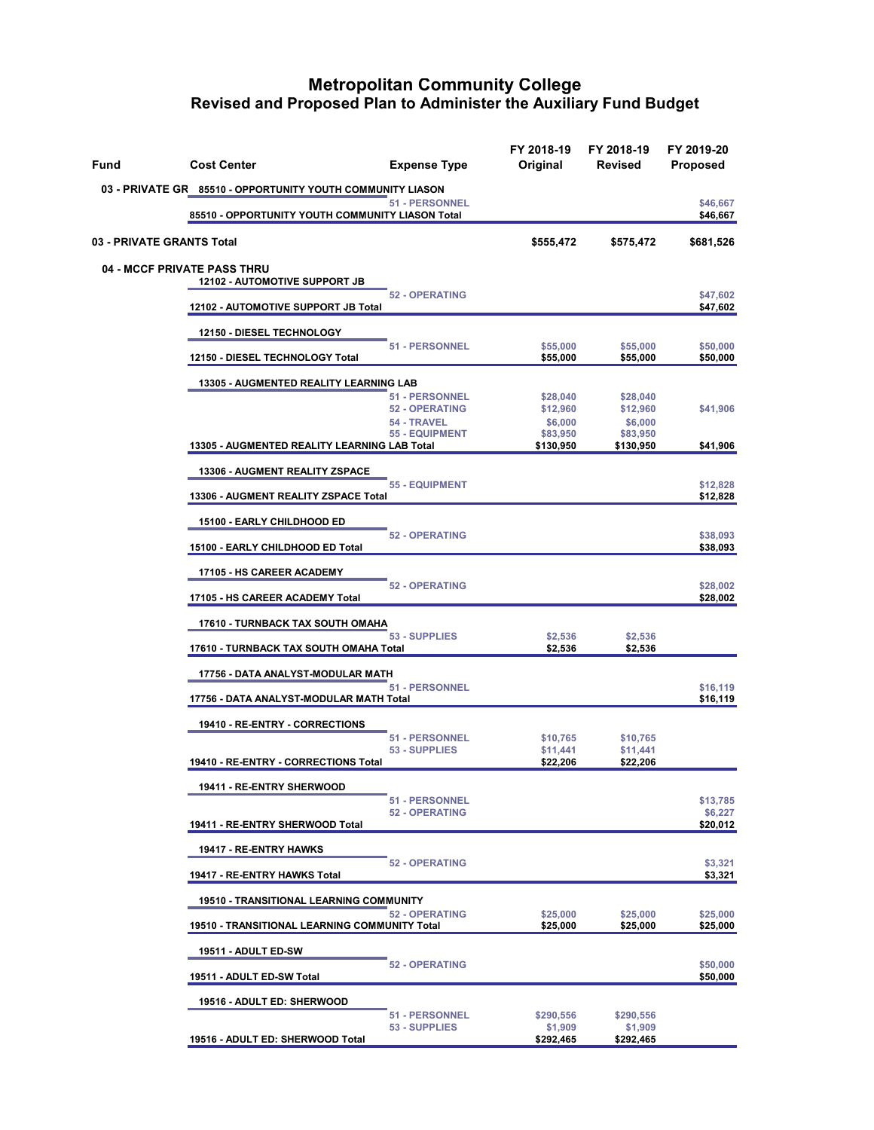| Fund | <b>Cost Center</b><br><b>Expense Type</b>                                  | FY 2018-19<br>Original                                                                                                                                                                                                                                                                                                                                          | FY 2018-19<br><b>Revised</b> | FY 2019-20<br><b>Proposed</b> |
|------|----------------------------------------------------------------------------|-----------------------------------------------------------------------------------------------------------------------------------------------------------------------------------------------------------------------------------------------------------------------------------------------------------------------------------------------------------------|------------------------------|-------------------------------|
|      | 03 - PRIVATE GR 85510 - OPPORTUNITY YOUTH COMMUNITY LIASON                 |                                                                                                                                                                                                                                                                                                                                                                 |                              |                               |
|      | <b>51 - PERSONNEL</b><br>85510 - OPPORTUNITY YOUTH COMMUNITY LIASON Total  |                                                                                                                                                                                                                                                                                                                                                                 |                              | \$46,667<br>\$46,667          |
|      | 03 - PRIVATE GRANTS Total                                                  | \$555,472                                                                                                                                                                                                                                                                                                                                                       | \$575,472                    | \$681,526                     |
|      | <b>04 - MCCF PRIVATE PASS THRU</b><br><b>12102 - AUTOMOTIVE SUPPORT JB</b> |                                                                                                                                                                                                                                                                                                                                                                 |                              |                               |
|      | <b>52 - OPERATING</b><br>12102 - AUTOMOTIVE SUPPORT JB Total               |                                                                                                                                                                                                                                                                                                                                                                 |                              | \$47,602<br>\$47,602          |
|      | 12150 - DIESEL TECHNOLOGY                                                  |                                                                                                                                                                                                                                                                                                                                                                 |                              |                               |
|      | <b>51 - PERSONNEL</b><br>12150 - DIESEL TECHNOLOGY Total                   | \$55,000                                                                                                                                                                                                                                                                                                                                                        | \$55,000<br>\$55,000         | \$50,000<br>\$50,000          |
|      | 13305 - AUGMENTED REALITY LEARNING LAB                                     |                                                                                                                                                                                                                                                                                                                                                                 |                              |                               |
|      | 51 - PERSONNEL<br><b>52 - OPERATING</b>                                    | \$28,040                                                                                                                                                                                                                                                                                                                                                        | \$28,040                     | \$41,906                      |
|      | 54 - TRAVEL                                                                | \$6,000                                                                                                                                                                                                                                                                                                                                                         | \$6,000                      |                               |
|      | <b>55 - EQUIPMENT</b><br>13305 - AUGMENTED REALITY LEARNING LAB Total      | \$130,950                                                                                                                                                                                                                                                                                                                                                       | \$130,950                    | \$41,906                      |
|      | 13306 - AUGMENT REALITY ZSPACE                                             |                                                                                                                                                                                                                                                                                                                                                                 |                              |                               |
|      | <b>55 - EQUIPMENT</b><br>13306 - AUGMENT REALITY ZSPACE Total              |                                                                                                                                                                                                                                                                                                                                                                 |                              | \$12,828<br>\$12,828          |
|      | 15100 - EARLY CHILDHOOD ED                                                 |                                                                                                                                                                                                                                                                                                                                                                 |                              |                               |
|      | 15100 - EARLY CHILDHOOD ED Total                                           |                                                                                                                                                                                                                                                                                                                                                                 |                              | \$38,093<br>\$38,093          |
|      | 17105 - HS CAREER ACADEMY                                                  |                                                                                                                                                                                                                                                                                                                                                                 |                              |                               |
|      | 17105 - HS CAREER ACADEMY Total                                            |                                                                                                                                                                                                                                                                                                                                                                 |                              | \$28,002<br>\$28,002          |
|      | 17610 - TURNBACK TAX SOUTH OMAHA                                           |                                                                                                                                                                                                                                                                                                                                                                 |                              |                               |
|      | 53 - SUPPLIES<br>17610 - TURNBACK TAX SOUTH OMAHA Total                    | \$2,536<br>\$2,536                                                                                                                                                                                                                                                                                                                                              | \$2,536<br>\$2,536           |                               |
|      | 17756 - DATA ANALYST-MODULAR MATH                                          |                                                                                                                                                                                                                                                                                                                                                                 |                              |                               |
|      | 51 - PERSONNEL<br>17756 - DATA ANALYST-MODULAR MATH Total                  |                                                                                                                                                                                                                                                                                                                                                                 |                              | \$16,119<br>\$16,119          |
|      | 19410 - RE-ENTRY - CORRECTIONS                                             |                                                                                                                                                                                                                                                                                                                                                                 |                              |                               |
|      | <b>51 - PERSONNEL</b><br>53 - SUPPLIES                                     | \$10,765                                                                                                                                                                                                                                                                                                                                                        | \$10,765                     |                               |
|      | 19410 - RE-ENTRY - CORRECTIONS Total                                       | \$55,000<br>\$12,960<br>\$12,960<br>\$83,950<br>\$83,950<br><b>52 - OPERATING</b><br><b>52 - OPERATING</b><br>\$11,441<br>\$11,441<br>\$22,206<br>\$22,206<br><b>52 - OPERATING</b><br><b>52 - OPERATING</b><br>\$25,000<br>\$25,000<br>\$25,000<br>\$25,000<br><b>52 - OPERATING</b><br>\$290,556<br>\$290,556<br>\$1,909<br>\$1,909<br>\$292,465<br>\$292,465 |                              |                               |
|      | 19411 - RE-ENTRY SHERWOOD                                                  |                                                                                                                                                                                                                                                                                                                                                                 |                              |                               |
|      | <b>51 - PERSONNEL</b><br><b>52 - OPERATING</b>                             |                                                                                                                                                                                                                                                                                                                                                                 |                              | \$13,785<br>\$6,227           |
|      | 19411 - RE-ENTRY SHERWOOD Total                                            |                                                                                                                                                                                                                                                                                                                                                                 |                              | \$20,012                      |
|      | 19417 - RE-ENTRY HAWKS                                                     |                                                                                                                                                                                                                                                                                                                                                                 |                              |                               |
|      | 19417 - RE-ENTRY HAWKS Total                                               |                                                                                                                                                                                                                                                                                                                                                                 |                              | \$3,321<br>\$3,321            |
|      | 19510 - TRANSITIONAL LEARNING COMMUNITY                                    |                                                                                                                                                                                                                                                                                                                                                                 |                              |                               |
|      | <b>19510 - TRANSITIONAL LEARNING COMMUNITY Total</b>                       |                                                                                                                                                                                                                                                                                                                                                                 |                              | \$25,000<br>\$25,000          |
|      | 19511 - ADULT ED-SW                                                        |                                                                                                                                                                                                                                                                                                                                                                 |                              |                               |
|      | 19511 - ADULT ED-SW Total                                                  |                                                                                                                                                                                                                                                                                                                                                                 |                              | \$50,000<br>\$50,000          |
|      | 19516 - ADULT ED: SHERWOOD                                                 |                                                                                                                                                                                                                                                                                                                                                                 |                              |                               |
|      | <b>51 - PERSONNEL</b><br>53 - SUPPLIES<br>19516 - ADULT ED: SHERWOOD Total |                                                                                                                                                                                                                                                                                                                                                                 |                              |                               |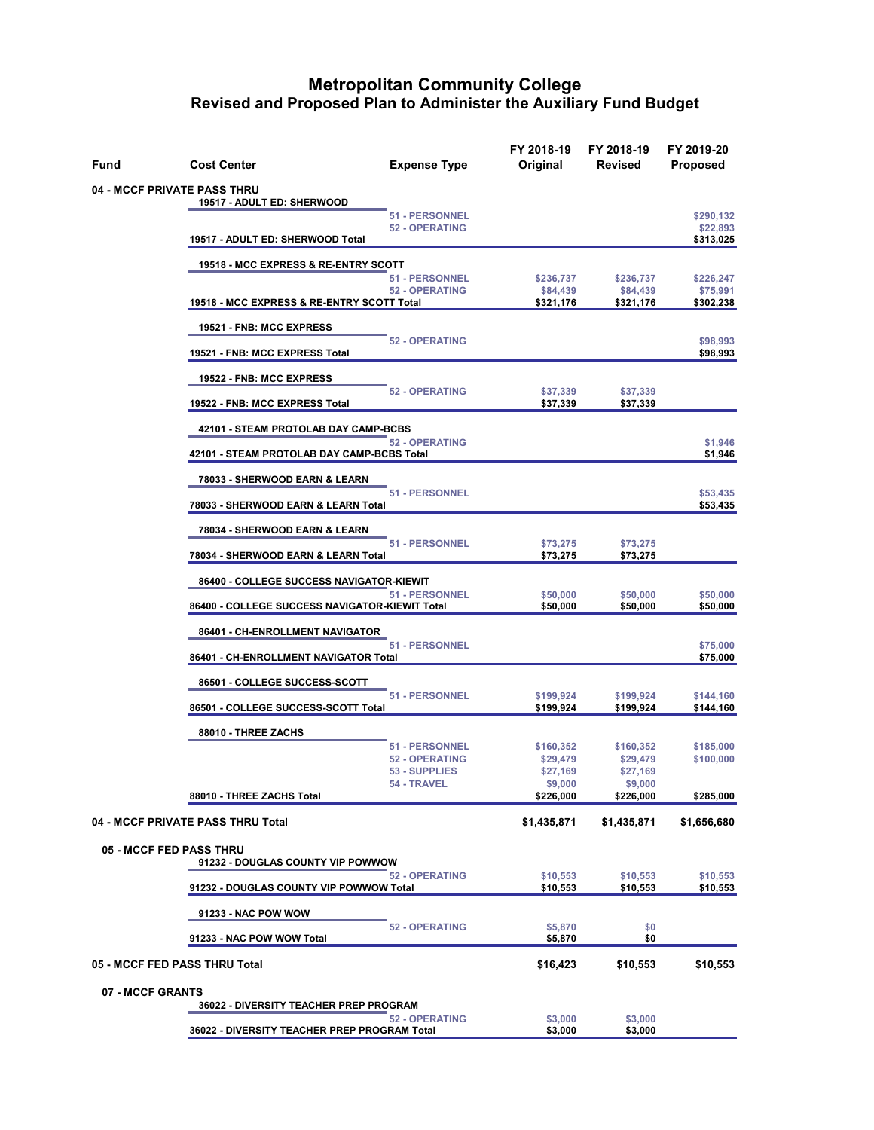| Fund                               | <b>Cost Center</b>                             | <b>Expense Type</b>                            | FY 2018-19<br>Original | FY 2018-19<br>Revised  | FY 2019-20<br><b>Proposed</b> |
|------------------------------------|------------------------------------------------|------------------------------------------------|------------------------|------------------------|-------------------------------|
| <b>04 - MCCF PRIVATE PASS THRU</b> |                                                |                                                |                        |                        |                               |
|                                    | 19517 - ADULT ED: SHERWOOD                     | <b>51 - PERSONNEL</b><br><b>52 - OPERATING</b> |                        |                        | \$290,132<br>\$22,893         |
|                                    | 19517 - ADULT ED: SHERWOOD Total               |                                                |                        |                        | \$313,025                     |
|                                    | 19518 - MCC EXPRESS & RE-ENTRY SCOTT           | 51 - PERSONNEL                                 | \$236,737              | \$236,737              | \$226,247                     |
|                                    | 19518 - MCC EXPRESS & RE-ENTRY SCOTT Total     | <b>52 - OPERATING</b>                          | \$84,439<br>\$321,176  | \$84,439<br>\$321,176  | \$75,991<br>\$302,238         |
|                                    | 19521 - FNB: MCC EXPRESS                       |                                                |                        |                        |                               |
|                                    | 19521 - FNB: MCC EXPRESS Total                 | <b>52 - OPERATING</b>                          |                        |                        | \$98,993<br>\$98,993          |
|                                    | 19522 - FNB: MCC EXPRESS                       |                                                |                        |                        |                               |
|                                    | 19522 - FNB: MCC EXPRESS Total                 | <b>52 - OPERATING</b>                          | \$37,339<br>\$37,339   | \$37,339<br>\$37,339   |                               |
|                                    | 42101 - STEAM PROTOLAB DAY CAMP-BCBS           |                                                |                        |                        |                               |
|                                    | 42101 - STEAM PROTOLAB DAY CAMP-BCBS Total     | <b>52 - OPERATING</b>                          |                        |                        | \$1,946<br>\$1,946            |
|                                    | 78033 - SHERWOOD EARN & LEARN                  |                                                |                        |                        |                               |
|                                    | 78033 - SHERWOOD EARN & LEARN Total            | 51 - PERSONNEL                                 |                        |                        | \$53,435<br>\$53,435          |
|                                    | 78034 - SHERWOOD EARN & LEARN                  |                                                |                        |                        |                               |
|                                    | 78034 - SHERWOOD EARN & LEARN Total            | <b>51 - PERSONNEL</b>                          | \$73,275<br>\$73,275   | \$73,275<br>\$73,275   |                               |
|                                    | 86400 - COLLEGE SUCCESS NAVIGATOR-KIEWIT       |                                                |                        |                        |                               |
|                                    | 86400 - COLLEGE SUCCESS NAVIGATOR-KIEWIT Total | 51 - PERSONNEL                                 | \$50,000<br>\$50,000   | \$50,000<br>\$50,000   | \$50,000<br>\$50,000          |
|                                    | 86401 - CH-ENROLLMENT NAVIGATOR                |                                                |                        |                        |                               |
|                                    | 86401 - CH-ENROLLMENT NAVIGATOR Total          | 51 - PERSONNEL                                 |                        |                        | \$75,000<br>\$75,000          |
|                                    | 86501 - COLLEGE SUCCESS-SCOTT                  |                                                |                        |                        |                               |
|                                    | 86501 - COLLEGE SUCCESS-SCOTT Total            | 51 - PERSONNEL                                 | \$199,924<br>\$199,924 | \$199,924<br>\$199,924 | \$144,160<br>\$144,160        |
|                                    | 88010 - THREE ZACHS                            |                                                |                        |                        |                               |
|                                    |                                                | <b>51 - PERSONNEL</b><br><b>52 - OPERATING</b> | \$160,352<br>\$29,479  | \$160,352<br>\$29,479  | \$185,000<br>\$100,000        |
|                                    |                                                | 53 - SUPPLIES<br>54 - TRAVEL                   | \$27,169<br>\$9,000    | \$27,169<br>\$9,000    |                               |
|                                    | 88010 - THREE ZACHS Total                      |                                                | \$226,000              | \$226,000              | \$285,000                     |
|                                    | 04 - MCCF PRIVATE PASS THRU Total              |                                                | \$1,435,871            | \$1,435,871            | \$1,656,680                   |
| <b>05 - MCCF FED PASS THRU</b>     | 91232 - DOUGLAS COUNTY VIP POWWOW              |                                                |                        |                        |                               |
|                                    | 91232 - DOUGLAS COUNTY VIP POWWOW Total        | <b>52 - OPERATING</b>                          | \$10,553<br>\$10,553   | \$10,553<br>\$10,553   | \$10,553<br>\$10,553          |
|                                    | 91233 - NAC POW WOW                            |                                                |                        |                        |                               |
|                                    | 91233 - NAC POW WOW Total                      | <b>52 - OPERATING</b>                          | \$5,870<br>\$5,870     | \$0<br>\$0             |                               |
| 05 - MCCF FED PASS THRU Total      |                                                |                                                | \$16,423               | \$10,553               | \$10,553                      |
| 07 - MCCF GRANTS                   |                                                |                                                |                        |                        |                               |
|                                    | 36022 - DIVERSITY TEACHER PREP PROGRAM         | <b>52 - OPERATING</b>                          | \$3,000                | \$3,000                |                               |
|                                    | 36022 - DIVERSITY TEACHER PREP PROGRAM Total   |                                                | \$3,000                | \$3,000                |                               |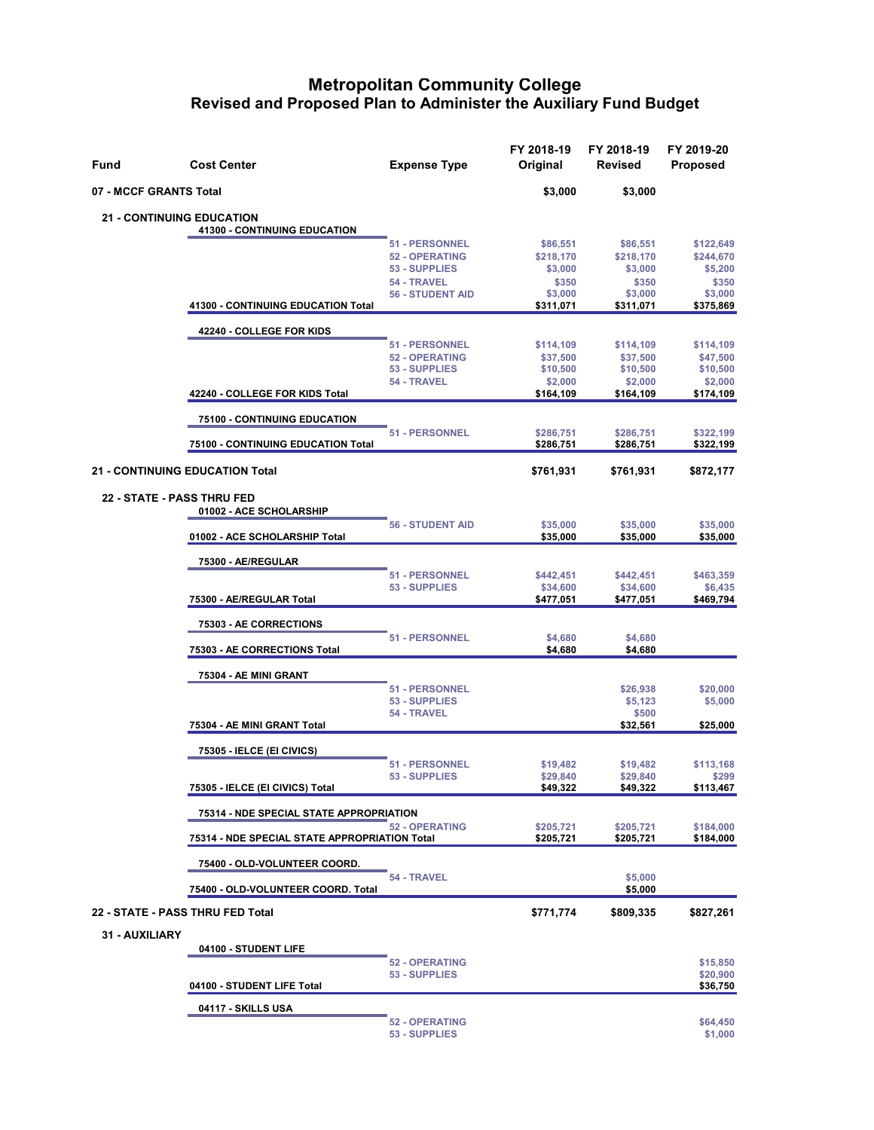| Fund                  | <b>Cost Center</b>                                                    | <b>Expense Type</b>                                                                                | FY 2018-19<br>Original                               | FY 2018-19<br><b>Revised</b>                         | FY 2019-20<br><b>Proposed</b>                         |
|-----------------------|-----------------------------------------------------------------------|----------------------------------------------------------------------------------------------------|------------------------------------------------------|------------------------------------------------------|-------------------------------------------------------|
|                       | 07 - MCCF GRANTS Total                                                |                                                                                                    | \$3,000                                              | \$3,000                                              |                                                       |
|                       | <b>21 - CONTINUING EDUCATION</b><br>41300 - CONTINUING EDUCATION      |                                                                                                    |                                                      |                                                      |                                                       |
|                       |                                                                       | 51 - PERSONNEL<br><b>52 - OPERATING</b><br>53 - SUPPLIES<br>54 - TRAVEL<br><b>56 - STUDENT AID</b> | \$86,551<br>\$218,170<br>\$3,000<br>\$350<br>\$3,000 | \$86,551<br>\$218,170<br>\$3,000<br>\$350<br>\$3,000 | \$122,649<br>\$244,670<br>\$5,200<br>\$350<br>\$3,000 |
|                       | 41300 - CONTINUING EDUCATION Total                                    |                                                                                                    | \$311,071                                            | \$311,071                                            | \$375,869                                             |
|                       | 42240 - COLLEGE FOR KIDS                                              | <b>51 - PERSONNEL</b>                                                                              | \$114,109                                            |                                                      | \$114,109                                             |
|                       |                                                                       | <b>52 - OPERATING</b><br>53 - SUPPLIES<br>54 - TRAVEL                                              | \$37,500<br>\$10,500<br>\$2,000                      | \$114,109<br>\$37,500<br>\$10,500<br>\$2,000         | \$47,500<br>\$10,500<br>\$2,000                       |
|                       | 42240 - COLLEGE FOR KIDS Total                                        |                                                                                                    | \$164,109                                            | \$164,109                                            | \$174,109                                             |
|                       | 75100 - CONTINUING EDUCATION                                          | <b>51 - PERSONNEL</b>                                                                              | \$286,751                                            | \$286,751                                            | \$322,199                                             |
|                       | 75100 - CONTINUING EDUCATION Total<br>21 - CONTINUING EDUCATION Total |                                                                                                    | \$286,751<br>\$761,931                               | \$286,751<br>\$761,931                               | \$322,199<br>\$872,177                                |
|                       | <b>22 - STATE - PASS THRU FED</b><br>01002 - ACE SCHOLARSHIP          |                                                                                                    |                                                      |                                                      |                                                       |
|                       | 01002 - ACE SCHOLARSHIP Total                                         | <b>56 - STUDENT AID</b>                                                                            | \$35,000<br>\$35,000                                 | \$35,000<br>\$35,000                                 | \$35,000<br>\$35,000                                  |
|                       | 75300 - AE/REGULAR                                                    |                                                                                                    |                                                      |                                                      |                                                       |
|                       | 75300 - AE/REGULAR Total                                              | 51 - PERSONNEL<br>53 - SUPPLIES                                                                    | \$442,451<br>\$34,600<br>\$477,051                   | \$442,451<br>\$34,600<br>\$477,051                   | \$463,359<br>\$6,435<br>\$469,794                     |
|                       | 75303 - AE CORRECTIONS                                                | <b>51 - PERSONNEL</b>                                                                              |                                                      |                                                      |                                                       |
|                       | 75303 - AE CORRECTIONS Total                                          |                                                                                                    | \$4,680<br>\$4,680                                   | \$4,680<br>\$4,680                                   |                                                       |
|                       | 75304 - AE MINI GRANT                                                 |                                                                                                    |                                                      |                                                      |                                                       |
|                       |                                                                       | 51 - PERSONNEL<br>53 - SUPPLIES<br>54 - TRAVEL                                                     |                                                      | \$26,938<br>\$5,123<br>\$500                         | \$20,000<br>\$5,000                                   |
|                       | 75304 - AE MINI GRANT Total                                           |                                                                                                    |                                                      | \$32,561                                             | \$25,000                                              |
|                       | 75305 - IELCE (EI CIVICS)                                             | <b>51 - PERSONNEL</b><br>53 - SUPPLIES                                                             | \$19,482<br>\$29,840                                 | \$19,482<br>\$29,840                                 | \$113,168<br>\$299                                    |
|                       | 75305 - IELCE (EI CIVICS) Total                                       |                                                                                                    | \$49,322                                             | \$49,322                                             | \$113,467                                             |
|                       | 75314 - NDE SPECIAL STATE APPROPRIATION                               | <b>52 - OPERATING</b>                                                                              | \$205,721                                            | \$205,721                                            | \$184,000                                             |
|                       | 75314 - NDE SPECIAL STATE APPROPRIATION Total                         |                                                                                                    | \$205,721                                            | \$205,721                                            | \$184,000                                             |
|                       | 75400 - OLD-VOLUNTEER COORD.<br>75400 - OLD-VOLUNTEER COORD. Total    | 54 - TRAVEL                                                                                        |                                                      | \$5,000<br>\$5,000                                   |                                                       |
|                       | 22 - STATE - PASS THRU FED Total                                      |                                                                                                    | \$771,774                                            | \$809,335                                            | \$827,261                                             |
| <b>31 - AUXILIARY</b> | 04100 - STUDENT LIFE                                                  |                                                                                                    |                                                      |                                                      |                                                       |
|                       | 04100 - STUDENT LIFE Total                                            | <b>52 - OPERATING</b><br>53 - SUPPLIES                                                             |                                                      |                                                      | \$15,850<br>\$20,900<br>\$36,750                      |
|                       | 04117 - SKILLS USA                                                    |                                                                                                    |                                                      |                                                      |                                                       |
|                       |                                                                       | <b>52 - OPERATING</b><br>53 - SUPPLIES                                                             |                                                      |                                                      | \$64,450<br>\$1,000                                   |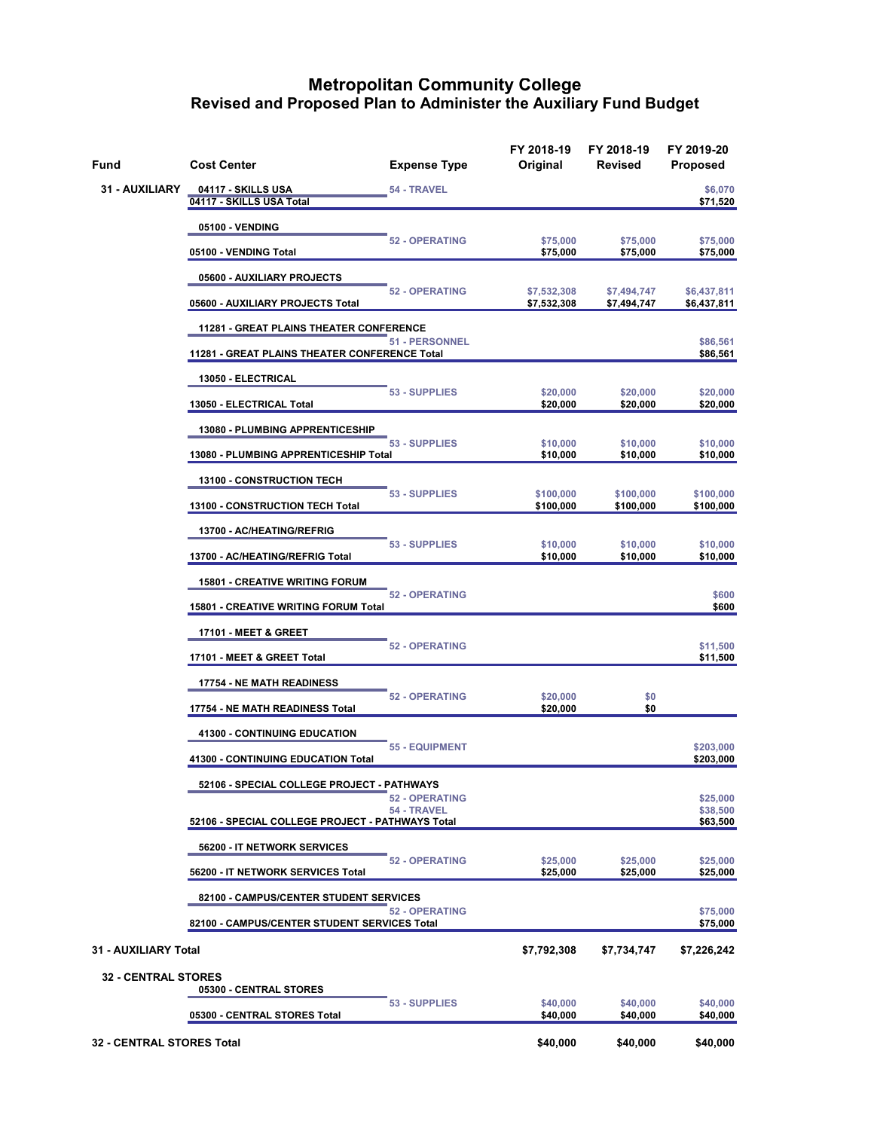| Fund                             | <b>Cost Center</b>                                                    | <b>Expense Type</b>                  | FY 2018-19<br>Original     | FY 2018-19<br>Revised      | FY 2019-20<br>Proposed           |
|----------------------------------|-----------------------------------------------------------------------|--------------------------------------|----------------------------|----------------------------|----------------------------------|
| 31 - AUXILIARY                   | <u>04117 - SKILLS USA</u><br>04117 - SKILLS USA Total                 | 54 - TRAVEL                          |                            |                            | \$6,070<br>\$71,520              |
|                                  | 05100 - VENDING                                                       |                                      |                            |                            |                                  |
|                                  | 05100 - VENDING Total                                                 | <b>52 - OPERATING</b>                | \$75,000<br>\$75,000       | \$75,000<br>\$75,000       | \$75,000<br>\$75,000             |
|                                  | 05600 - AUXILIARY PROJECTS                                            |                                      |                            |                            |                                  |
|                                  | 05600 - AUXILIARY PROJECTS Total                                      | <b>52 - OPERATING</b>                | \$7,532,308<br>\$7,532,308 | \$7,494,747<br>\$7,494,747 | \$6,437,811<br>\$6,437,811       |
|                                  | 11281 - GREAT PLAINS THEATER CONFERENCE                               |                                      |                            |                            |                                  |
|                                  | 11281 - GREAT PLAINS THEATER CONFERENCE Total                         | 51 - PERSONNEL                       |                            |                            | \$86,561<br>\$86,561             |
|                                  | 13050 - ELECTRICAL                                                    |                                      |                            |                            |                                  |
|                                  | 13050 - ELECTRICAL Total                                              | 53 - SUPPLIES                        | \$20,000<br>\$20,000       | \$20,000<br>\$20,000       | \$20,000<br>\$20,000             |
|                                  | 13080 - PLUMBING APPRENTICESHIP                                       |                                      |                            |                            |                                  |
|                                  | 13080 - PLUMBING APPRENTICESHIP Total                                 | 53 - SUPPLIES                        | \$10,000<br>\$10,000       | \$10,000<br>\$10,000       | \$10,000<br>\$10,000             |
|                                  | <b>13100 - CONSTRUCTION TECH</b>                                      | 53 - SUPPLIES                        |                            |                            |                                  |
|                                  | 13100 - CONSTRUCTION TECH Total                                       |                                      | \$100,000<br>\$100,000     | \$100,000<br>\$100,000     | \$100,000<br>\$100,000           |
|                                  | 13700 - AC/HEATING/REFRIG                                             | 53 - SUPPLIES                        |                            |                            |                                  |
|                                  | 13700 - AC/HEATING/REFRIG Total                                       |                                      | \$10,000<br>\$10,000       | \$10,000<br>\$10,000       | \$10,000<br>\$10,000             |
|                                  | <b>15801 - CREATIVE WRITING FORUM</b>                                 | <b>52 - OPERATING</b>                |                            |                            |                                  |
|                                  | <b>15801 - CREATIVE WRITING FORUM Total</b>                           |                                      |                            | \$600<br>\$600             |                                  |
|                                  | <b>17101 - MEET &amp; GREET</b>                                       |                                      |                            |                            |                                  |
|                                  | 17101 - MEET & GREET Total                                            | <b>52 - OPERATING</b>                |                            |                            | \$11,500<br>\$11,500             |
|                                  | <b>17754 - NE MATH READINESS</b>                                      |                                      |                            |                            |                                  |
|                                  | 17754 - NE MATH READINESS Total                                       | <b>52 - OPERATING</b>                | \$20,000<br>\$20,000       | \$0<br>\$0                 |                                  |
|                                  | 41300 - CONTINUING EDUCATION                                          |                                      |                            |                            |                                  |
|                                  | 41300 - CONTINUING EDUCATION Total                                    | <b>55 - EQUIPMENT</b>                |                            |                            | \$203,000<br>\$203,000           |
|                                  | 52106 - SPECIAL COLLEGE PROJECT - PATHWAYS                            |                                      |                            |                            |                                  |
|                                  | 52106 - SPECIAL COLLEGE PROJECT - PATHWAYS Total                      | <b>52 - OPERATING</b><br>54 - TRAVEL |                            |                            | \$25,000<br>\$38,500<br>\$63,500 |
|                                  | 56200 - IT NETWORK SERVICES                                           |                                      |                            |                            |                                  |
|                                  | 56200 - IT NETWORK SERVICES Total                                     | <b>52 - OPERATING</b>                | \$25,000<br>\$25,000       | \$25,000<br>\$25,000       | \$25,000<br>\$25,000             |
|                                  | 82100 - CAMPUS/CENTER STUDENT SERVICES                                |                                      |                            |                            |                                  |
|                                  | <b>52 - OPERATING</b><br>82100 - CAMPUS/CENTER STUDENT SERVICES Total |                                      |                            |                            | \$75,000<br>\$75,000             |
| 31 - AUXILIARY Total             |                                                                       |                                      | \$7,792,308                | \$7,734,747                | \$7,226,242                      |
| <b>32 - CENTRAL STORES</b>       | 05300 - CENTRAL STORES                                                |                                      |                            |                            |                                  |
|                                  | 05300 - CENTRAL STORES Total                                          | 53 - SUPPLIES                        | \$40,000<br>\$40,000       | \$40,000<br>\$40,000       | \$40,000<br>\$40,000             |
| <b>32 - CENTRAL STORES Total</b> |                                                                       |                                      | \$40,000                   | \$40,000                   | \$40,000                         |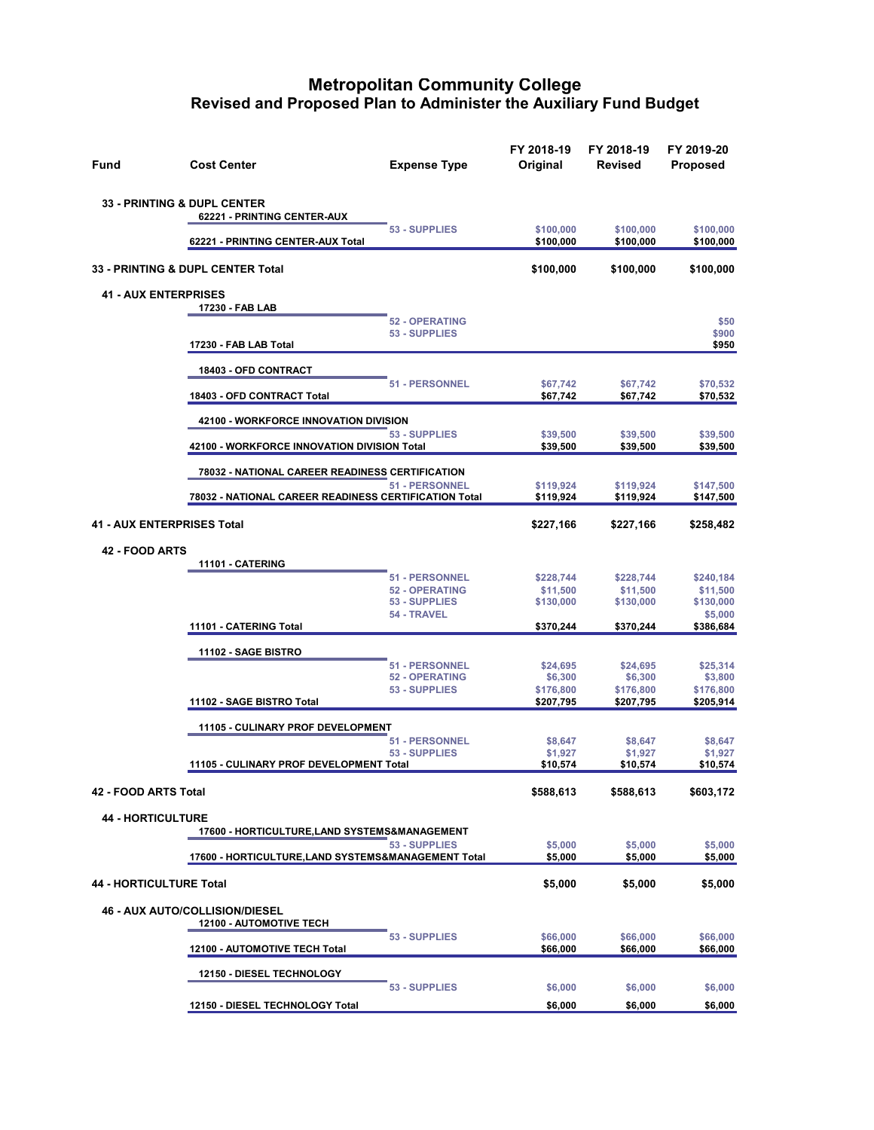| Fund                                   | <b>Cost Center</b>                                                      | <b>Expense Type</b>   | FY 2018-19<br>Original | FY 2018-19<br><b>Revised</b> | FY 2019-20<br><b>Proposed</b> |
|----------------------------------------|-------------------------------------------------------------------------|-----------------------|------------------------|------------------------------|-------------------------------|
| <b>33 - PRINTING &amp; DUPL CENTER</b> | 62221 - PRINTING CENTER-AUX                                             |                       |                        |                              |                               |
|                                        | 62221 - PRINTING CENTER-AUX Total                                       | 53 - SUPPLIES         | \$100,000<br>\$100,000 | \$100,000<br>\$100,000       | \$100,000<br>\$100,000        |
|                                        | 33 - PRINTING & DUPL CENTER Total                                       |                       | \$100,000              | \$100,000                    | \$100,000                     |
| <b>41 - AUX ENTERPRISES</b>            |                                                                         |                       |                        |                              |                               |
|                                        | 17230 - FAB LAB                                                         | <b>52 - OPERATING</b> |                        |                              | \$50                          |
|                                        | 17230 - FAB LAB Total                                                   | 53 - SUPPLIES         |                        |                              | \$900<br>\$950                |
|                                        | 18403 - OFD CONTRACT                                                    |                       |                        |                              |                               |
|                                        | 18403 - OFD CONTRACT Total                                              | 51 - PERSONNEL        | \$67,742<br>\$67,742   | \$67,742<br>\$67,742         | \$70,532<br>\$70,532          |
|                                        | 42100 - WORKFORCE INNOVATION DIVISION                                   |                       |                        |                              |                               |
|                                        | 42100 - WORKFORCE INNOVATION DIVISION Total                             | 53 - SUPPLIES         | \$39,500<br>\$39,500   | \$39,500<br>\$39,500         | \$39,500<br>\$39,500          |
|                                        | 78032 - NATIONAL CAREER READINESS CERTIFICATION                         |                       |                        |                              |                               |
|                                        | 78032 - NATIONAL CAREER READINESS CERTIFICATION Total                   | 51 - PERSONNEL        | \$119,924<br>\$119,924 | \$119,924<br>\$119,924       | \$147,500<br>\$147,500        |
| 41 - AUX ENTERPRISES Total             |                                                                         |                       | \$227,166              | \$227,166                    | \$258,482                     |
| <b>42 - FOOD ARTS</b>                  |                                                                         |                       |                        |                              |                               |
|                                        | 11101 - CATERING                                                        | 51 - PERSONNEL        |                        |                              |                               |
|                                        |                                                                         | 52 - OPERATING        | \$228,744<br>\$11,500  | \$228,744<br>\$11,500        | \$240,184<br>\$11,500         |
|                                        |                                                                         | 53 - SUPPLIES         | \$130,000              | \$130,000                    | \$130,000                     |
|                                        | 11101 - CATERING Total                                                  | 54 - TRAVEL           | \$370,244              | \$370,244                    | \$5,000<br>\$386,684          |
|                                        | 11102 - SAGE BISTRO                                                     |                       |                        |                              |                               |
|                                        |                                                                         | 51 - PERSONNEL        | \$24,695               | \$24,695                     | \$25,314                      |
|                                        |                                                                         | <b>52 - OPERATING</b> | \$6,300                | \$6,300                      | \$3,800                       |
|                                        | 11102 - SAGE BISTRO Total                                               | 53 - SUPPLIES         | \$176,800<br>\$207,795 | \$176,800<br>\$207,795       | \$176,800<br>\$205,914        |
|                                        | 11105 - CULINARY PROF DEVELOPMENT                                       |                       |                        |                              |                               |
|                                        |                                                                         | <b>51 - PERSONNEL</b> | \$8,647                | \$8,647                      | \$8,647                       |
|                                        | 11105 - CULINARY PROF DEVELOPMENT Total                                 | 53 - SUPPLIES         | \$1,927<br>\$10,574    | \$1,927<br>\$10,574          | \$1,927<br>\$10,574           |
| 42 - FOOD ARTS Total                   |                                                                         |                       | \$588,613              | \$588,613                    | \$603,172                     |
| <b>44 - HORTICULTURE</b>               | 17600 - HORTICULTURE,LAND SYSTEMS&MANAGEMENT                            |                       |                        |                              |                               |
|                                        | 17600 - HORTICULTURE, LAND SYSTEMS&MANAGEMENT Total                     | 53 - SUPPLIES         | \$5,000<br>\$5,000     | \$5,000<br>\$5,000           | \$5,000<br>\$5,000            |
|                                        |                                                                         |                       |                        |                              |                               |
| <b>44 - HORTICULTURE Total</b>         |                                                                         |                       | \$5,000                | \$5,000                      | \$5,000                       |
|                                        | <b>46 - AUX AUTO/COLLISION/DIESEL</b><br><b>12100 - AUTOMOTIVE TECH</b> |                       |                        |                              |                               |
|                                        | 12100 - AUTOMOTIVE TECH Total                                           | 53 - SUPPLIES         | \$66,000<br>\$66,000   | \$66,000<br>\$66,000         | \$66,000<br>\$66,000          |
|                                        | 12150 - DIESEL TECHNOLOGY                                               |                       |                        |                              |                               |
|                                        |                                                                         | 53 - SUPPLIES         | \$6,000                | \$6,000                      | \$6,000                       |
|                                        | 12150 - DIESEL TECHNOLOGY Total                                         |                       | \$6,000                | \$6,000                      | \$6,000                       |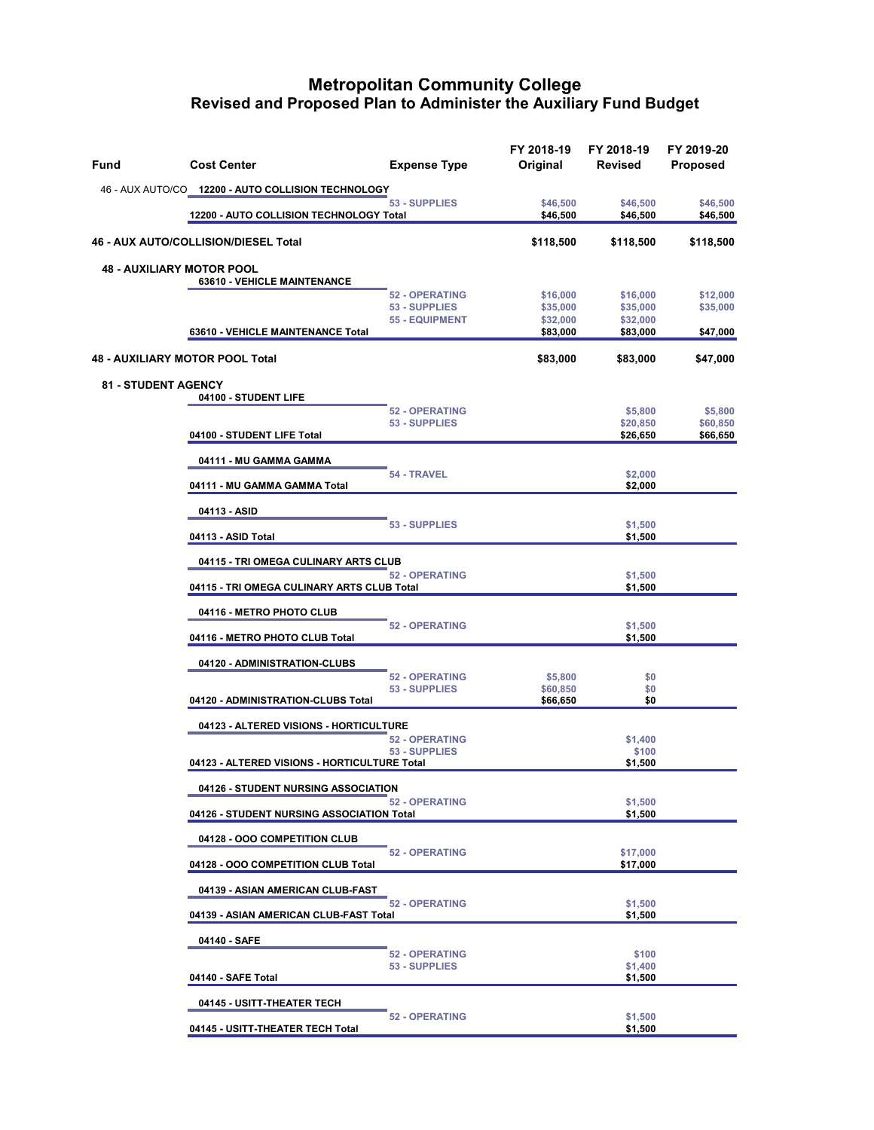| Fund | <b>Cost Center</b>                                                                 | <b>Expense Type</b>                                             | FY 2018-19<br>Original                       | FY 2018-19<br>Revised                        | FY 2019-20<br><b>Proposed</b>           |
|------|------------------------------------------------------------------------------------|-----------------------------------------------------------------|----------------------------------------------|----------------------------------------------|-----------------------------------------|
|      | 46 - AUX AUTO/CO 12200 - AUTO COLLISION TECHNOLOGY                                 |                                                                 |                                              |                                              |                                         |
|      | 12200 - AUTO COLLISION TECHNOLOGY Total                                            | 53 - SUPPLIES                                                   | \$46,500<br>\$46,500                         | \$46,500<br>\$46,500                         | \$46,500<br>\$46,500                    |
|      | 46 - AUX AUTO/COLLISION/DIESEL Total                                               |                                                                 | \$118,500                                    | \$118,500                                    | \$118,500                               |
|      | <b>48 - AUXILIARY MOTOR POOL</b><br>63610 - VEHICLE MAINTENANCE                    |                                                                 |                                              |                                              |                                         |
|      | 63610 - VEHICLE MAINTENANCE Total                                                  | <b>52 - OPERATING</b><br>53 - SUPPLIES<br><b>55 - EQUIPMENT</b> | \$16,000<br>\$35,000<br>\$32,000<br>\$83,000 | \$16,000<br>\$35,000<br>\$32,000<br>\$83,000 | \$12,000<br>\$35,000<br><u>\$47,000</u> |
|      | <b>48 - AUXILIARY MOTOR POOL Total</b>                                             |                                                                 | \$83,000                                     | \$83,000                                     | \$47,000                                |
|      | <b>81 - STUDENT AGENCY</b><br>04100 - STUDENT LIFE                                 | <b>52 - OPERATING</b>                                           |                                              |                                              |                                         |
|      | 04100 - STUDENT LIFE Total                                                         | 53 - SUPPLIES                                                   |                                              | \$5,800<br>\$20,850<br>\$26,650              | \$5,800<br>\$60,850<br>\$66,650         |
|      | 04111 - MU GAMMA GAMMA                                                             | 54 - TRAVEL                                                     |                                              | \$2,000                                      |                                         |
|      | 04111 - MU GAMMA GAMMA Total                                                       |                                                                 |                                              | \$2,000                                      |                                         |
|      | 04113 - ASID                                                                       | 53 - SUPPLIES                                                   |                                              | \$1,500                                      |                                         |
|      | 04113 - ASID Total                                                                 |                                                                 |                                              | \$1,500                                      |                                         |
|      | 04115 - TRI OMEGA CULINARY ARTS CLUB<br>04115 - TRI OMEGA CULINARY ARTS CLUB Total | <b>52 - OPERATING</b>                                           |                                              | \$1,500                                      |                                         |
|      |                                                                                    |                                                                 |                                              | \$1,500                                      |                                         |
|      | 04116 - METRO PHOTO CLUB                                                           | <b>52 - OPERATING</b>                                           |                                              | \$1,500                                      |                                         |
|      | 04116 - METRO PHOTO CLUB Total                                                     |                                                                 |                                              | \$1,500                                      |                                         |
|      | 04120 - ADMINISTRATION-CLUBS                                                       | <b>52 - OPERATING</b>                                           | \$5,800                                      | \$0                                          |                                         |
|      | 04120 - ADMINISTRATION-CLUBS Total                                                 | 53 - SUPPLIES                                                   | \$60,850<br>\$66,650                         | \$0<br>\$0                                   |                                         |
|      | 04123 - ALTERED VISIONS - HORTICULTURE                                             |                                                                 |                                              |                                              |                                         |
|      | 04123 - ALTERED VISIONS - HORTICULTURE Total                                       | <b>52 - OPERATING</b><br>53 - SUPPLIES                          |                                              | \$1,400<br>\$100<br>\$1,500                  |                                         |
|      | 04126 - STUDENT NURSING ASSOCIATION                                                |                                                                 |                                              |                                              |                                         |
|      | 04126 - STUDENT NURSING ASSOCIATION Total                                          | <b>52 - OPERATING</b>                                           |                                              | \$1,500<br>\$1,500                           |                                         |
|      | 04128 - OOO COMPETITION CLUB                                                       |                                                                 |                                              |                                              |                                         |
|      | 04128 - OOO COMPETITION CLUB Total                                                 | <b>52 - OPERATING</b>                                           |                                              | \$17,000<br>\$17,000                         |                                         |
|      | 04139 - ASIAN AMERICAN CLUB-FAST                                                   |                                                                 |                                              |                                              |                                         |
|      | 04139 - ASIAN AMERICAN CLUB-FAST Total                                             | <b>52 - OPERATING</b>                                           |                                              | \$1,500<br>\$1,500                           |                                         |
|      | 04140 - SAFE                                                                       | <b>52 - OPERATING</b>                                           |                                              | \$100                                        |                                         |
|      | 04140 - SAFE Total                                                                 | 53 - SUPPLIES                                                   |                                              | \$1,400<br>\$1,500                           |                                         |
|      | 04145 - USITT-THEATER TECH                                                         | <b>52 - OPERATING</b>                                           |                                              | \$1,500                                      |                                         |
|      | 04145 - USITT-THEATER TECH Total                                                   |                                                                 |                                              | \$1,500                                      |                                         |